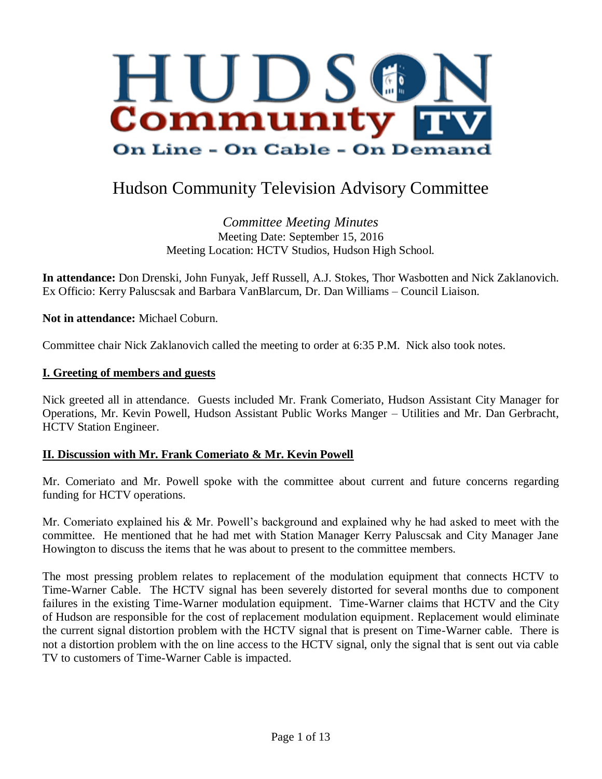

# Hudson Community Television Advisory Committee

*Committee Meeting Minutes* Meeting Date: September 15, 2016 Meeting Location: HCTV Studios, Hudson High School.

**In attendance:** Don Drenski, John Funyak, Jeff Russell, A.J. Stokes, Thor Wasbotten and Nick Zaklanovich. Ex Officio: Kerry Paluscsak and Barbara VanBlarcum, Dr. Dan Williams – Council Liaison.

**Not in attendance:** Michael Coburn.

Committee chair Nick Zaklanovich called the meeting to order at 6:35 P.M. Nick also took notes.

#### **I. Greeting of members and guests**

Nick greeted all in attendance. Guests included Mr. Frank Comeriato, Hudson Assistant City Manager for Operations, Mr. Kevin Powell, Hudson Assistant Public Works Manger – Utilities and Mr. Dan Gerbracht, HCTV Station Engineer.

#### **II. Discussion with Mr. Frank Comeriato & Mr. Kevin Powell**

Mr. Comeriato and Mr. Powell spoke with the committee about current and future concerns regarding funding for HCTV operations.

Mr. Comeriato explained his & Mr. Powell's background and explained why he had asked to meet with the committee. He mentioned that he had met with Station Manager Kerry Paluscsak and City Manager Jane Howington to discuss the items that he was about to present to the committee members.

The most pressing problem relates to replacement of the modulation equipment that connects HCTV to Time-Warner Cable. The HCTV signal has been severely distorted for several months due to component failures in the existing Time-Warner modulation equipment. Time-Warner claims that HCTV and the City of Hudson are responsible for the cost of replacement modulation equipment. Replacement would eliminate the current signal distortion problem with the HCTV signal that is present on Time-Warner cable. There is not a distortion problem with the on line access to the HCTV signal, only the signal that is sent out via cable TV to customers of Time-Warner Cable is impacted.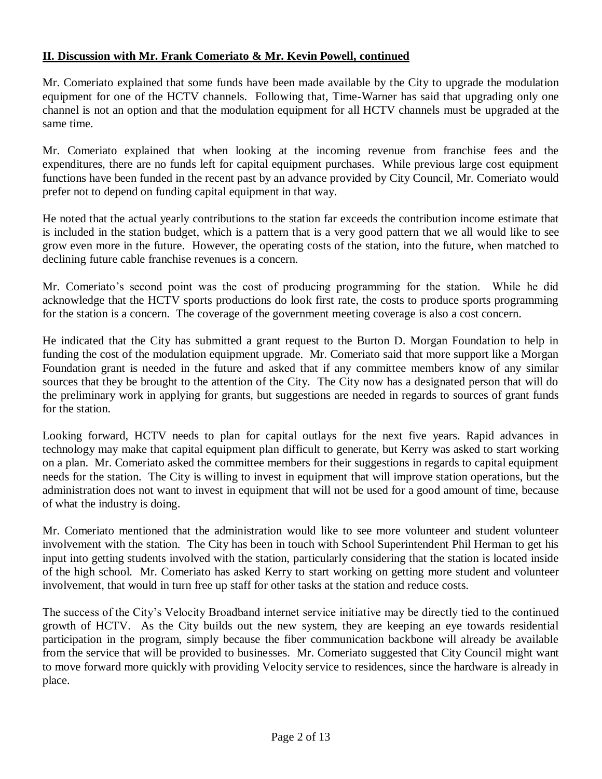Mr. Comeriato explained that some funds have been made available by the City to upgrade the modulation equipment for one of the HCTV channels. Following that, Time-Warner has said that upgrading only one channel is not an option and that the modulation equipment for all HCTV channels must be upgraded at the same time.

Mr. Comeriato explained that when looking at the incoming revenue from franchise fees and the expenditures, there are no funds left for capital equipment purchases. While previous large cost equipment functions have been funded in the recent past by an advance provided by City Council, Mr. Comeriato would prefer not to depend on funding capital equipment in that way.

He noted that the actual yearly contributions to the station far exceeds the contribution income estimate that is included in the station budget, which is a pattern that is a very good pattern that we all would like to see grow even more in the future. However, the operating costs of the station, into the future, when matched to declining future cable franchise revenues is a concern.

Mr. Comeriato's second point was the cost of producing programming for the station. While he did acknowledge that the HCTV sports productions do look first rate, the costs to produce sports programming for the station is a concern. The coverage of the government meeting coverage is also a cost concern.

He indicated that the City has submitted a grant request to the Burton D. Morgan Foundation to help in funding the cost of the modulation equipment upgrade. Mr. Comeriato said that more support like a Morgan Foundation grant is needed in the future and asked that if any committee members know of any similar sources that they be brought to the attention of the City. The City now has a designated person that will do the preliminary work in applying for grants, but suggestions are needed in regards to sources of grant funds for the station.

Looking forward, HCTV needs to plan for capital outlays for the next five years. Rapid advances in technology may make that capital equipment plan difficult to generate, but Kerry was asked to start working on a plan. Mr. Comeriato asked the committee members for their suggestions in regards to capital equipment needs for the station. The City is willing to invest in equipment that will improve station operations, but the administration does not want to invest in equipment that will not be used for a good amount of time, because of what the industry is doing.

Mr. Comeriato mentioned that the administration would like to see more volunteer and student volunteer involvement with the station. The City has been in touch with School Superintendent Phil Herman to get his input into getting students involved with the station, particularly considering that the station is located inside of the high school. Mr. Comeriato has asked Kerry to start working on getting more student and volunteer involvement, that would in turn free up staff for other tasks at the station and reduce costs.

The success of the City's Velocity Broadband internet service initiative may be directly tied to the continued growth of HCTV. As the City builds out the new system, they are keeping an eye towards residential participation in the program, simply because the fiber communication backbone will already be available from the service that will be provided to businesses. Mr. Comeriato suggested that City Council might want to move forward more quickly with providing Velocity service to residences, since the hardware is already in place.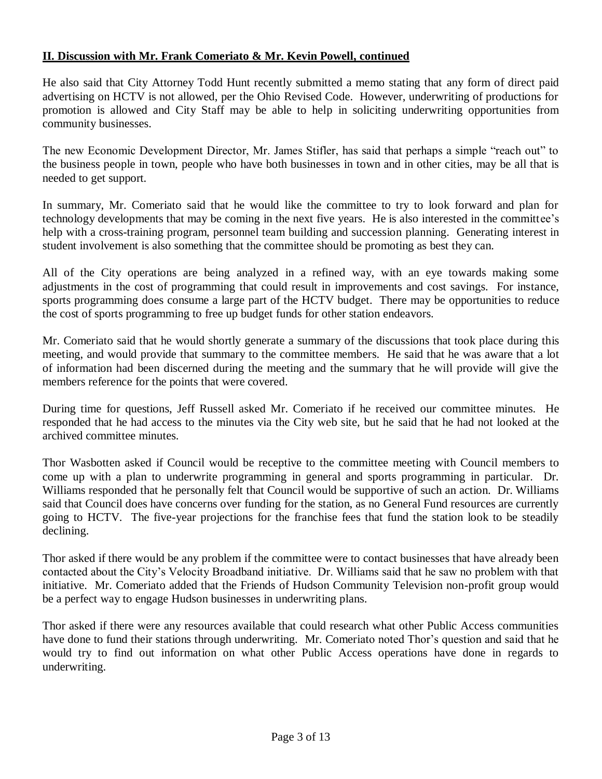He also said that City Attorney Todd Hunt recently submitted a memo stating that any form of direct paid advertising on HCTV is not allowed, per the Ohio Revised Code. However, underwriting of productions for promotion is allowed and City Staff may be able to help in soliciting underwriting opportunities from community businesses.

The new Economic Development Director, Mr. James Stifler, has said that perhaps a simple "reach out" to the business people in town, people who have both businesses in town and in other cities, may be all that is needed to get support.

In summary, Mr. Comeriato said that he would like the committee to try to look forward and plan for technology developments that may be coming in the next five years. He is also interested in the committee's help with a cross-training program, personnel team building and succession planning. Generating interest in student involvement is also something that the committee should be promoting as best they can.

All of the City operations are being analyzed in a refined way, with an eye towards making some adjustments in the cost of programming that could result in improvements and cost savings. For instance, sports programming does consume a large part of the HCTV budget. There may be opportunities to reduce the cost of sports programming to free up budget funds for other station endeavors.

Mr. Comeriato said that he would shortly generate a summary of the discussions that took place during this meeting, and would provide that summary to the committee members. He said that he was aware that a lot of information had been discerned during the meeting and the summary that he will provide will give the members reference for the points that were covered.

During time for questions, Jeff Russell asked Mr. Comeriato if he received our committee minutes. He responded that he had access to the minutes via the City web site, but he said that he had not looked at the archived committee minutes.

Thor Wasbotten asked if Council would be receptive to the committee meeting with Council members to come up with a plan to underwrite programming in general and sports programming in particular. Dr. Williams responded that he personally felt that Council would be supportive of such an action. Dr. Williams said that Council does have concerns over funding for the station, as no General Fund resources are currently going to HCTV. The five-year projections for the franchise fees that fund the station look to be steadily declining.

Thor asked if there would be any problem if the committee were to contact businesses that have already been contacted about the City's Velocity Broadband initiative. Dr. Williams said that he saw no problem with that initiative. Mr. Comeriato added that the Friends of Hudson Community Television non-profit group would be a perfect way to engage Hudson businesses in underwriting plans.

Thor asked if there were any resources available that could research what other Public Access communities have done to fund their stations through underwriting. Mr. Comeriato noted Thor's question and said that he would try to find out information on what other Public Access operations have done in regards to underwriting.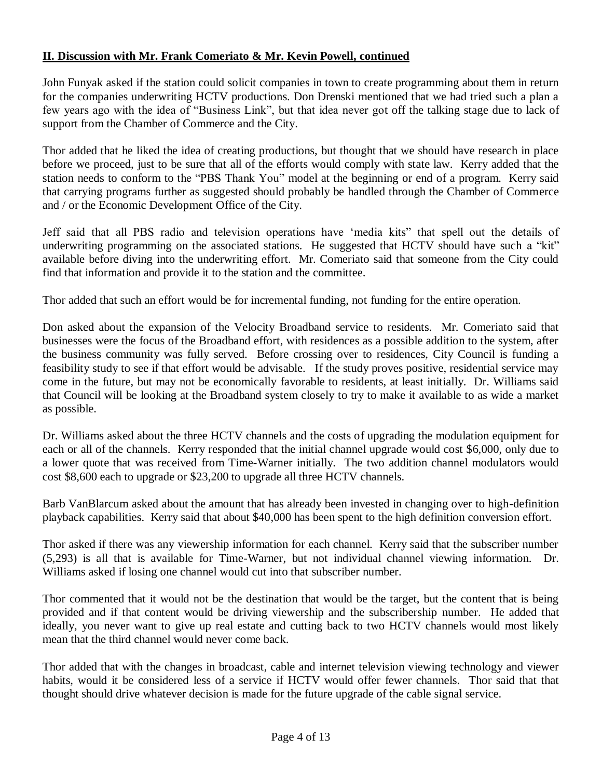John Funyak asked if the station could solicit companies in town to create programming about them in return for the companies underwriting HCTV productions. Don Drenski mentioned that we had tried such a plan a few years ago with the idea of "Business Link", but that idea never got off the talking stage due to lack of support from the Chamber of Commerce and the City.

Thor added that he liked the idea of creating productions, but thought that we should have research in place before we proceed, just to be sure that all of the efforts would comply with state law. Kerry added that the station needs to conform to the "PBS Thank You" model at the beginning or end of a program. Kerry said that carrying programs further as suggested should probably be handled through the Chamber of Commerce and / or the Economic Development Office of the City.

Jeff said that all PBS radio and television operations have 'media kits" that spell out the details of underwriting programming on the associated stations. He suggested that HCTV should have such a "kit" available before diving into the underwriting effort. Mr. Comeriato said that someone from the City could find that information and provide it to the station and the committee.

Thor added that such an effort would be for incremental funding, not funding for the entire operation.

Don asked about the expansion of the Velocity Broadband service to residents. Mr. Comeriato said that businesses were the focus of the Broadband effort, with residences as a possible addition to the system, after the business community was fully served. Before crossing over to residences, City Council is funding a feasibility study to see if that effort would be advisable. If the study proves positive, residential service may come in the future, but may not be economically favorable to residents, at least initially. Dr. Williams said that Council will be looking at the Broadband system closely to try to make it available to as wide a market as possible.

Dr. Williams asked about the three HCTV channels and the costs of upgrading the modulation equipment for each or all of the channels. Kerry responded that the initial channel upgrade would cost \$6,000, only due to a lower quote that was received from Time-Warner initially. The two addition channel modulators would cost \$8,600 each to upgrade or \$23,200 to upgrade all three HCTV channels.

Barb VanBlarcum asked about the amount that has already been invested in changing over to high-definition playback capabilities. Kerry said that about \$40,000 has been spent to the high definition conversion effort.

Thor asked if there was any viewership information for each channel. Kerry said that the subscriber number (5,293) is all that is available for Time-Warner, but not individual channel viewing information. Dr. Williams asked if losing one channel would cut into that subscriber number.

Thor commented that it would not be the destination that would be the target, but the content that is being provided and if that content would be driving viewership and the subscribership number. He added that ideally, you never want to give up real estate and cutting back to two HCTV channels would most likely mean that the third channel would never come back.

Thor added that with the changes in broadcast, cable and internet television viewing technology and viewer habits, would it be considered less of a service if HCTV would offer fewer channels. Thor said that that thought should drive whatever decision is made for the future upgrade of the cable signal service.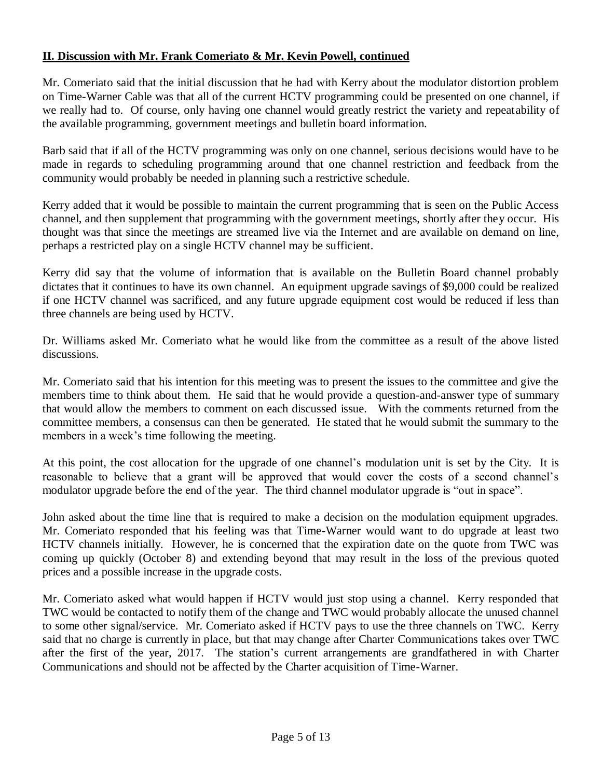Mr. Comeriato said that the initial discussion that he had with Kerry about the modulator distortion problem on Time-Warner Cable was that all of the current HCTV programming could be presented on one channel, if we really had to. Of course, only having one channel would greatly restrict the variety and repeatability of the available programming, government meetings and bulletin board information.

Barb said that if all of the HCTV programming was only on one channel, serious decisions would have to be made in regards to scheduling programming around that one channel restriction and feedback from the community would probably be needed in planning such a restrictive schedule.

Kerry added that it would be possible to maintain the current programming that is seen on the Public Access channel, and then supplement that programming with the government meetings, shortly after they occur. His thought was that since the meetings are streamed live via the Internet and are available on demand on line, perhaps a restricted play on a single HCTV channel may be sufficient.

Kerry did say that the volume of information that is available on the Bulletin Board channel probably dictates that it continues to have its own channel. An equipment upgrade savings of \$9,000 could be realized if one HCTV channel was sacrificed, and any future upgrade equipment cost would be reduced if less than three channels are being used by HCTV.

Dr. Williams asked Mr. Comeriato what he would like from the committee as a result of the above listed discussions.

Mr. Comeriato said that his intention for this meeting was to present the issues to the committee and give the members time to think about them. He said that he would provide a question-and-answer type of summary that would allow the members to comment on each discussed issue. With the comments returned from the committee members, a consensus can then be generated. He stated that he would submit the summary to the members in a week's time following the meeting.

At this point, the cost allocation for the upgrade of one channel's modulation unit is set by the City. It is reasonable to believe that a grant will be approved that would cover the costs of a second channel's modulator upgrade before the end of the year. The third channel modulator upgrade is "out in space".

John asked about the time line that is required to make a decision on the modulation equipment upgrades. Mr. Comeriato responded that his feeling was that Time-Warner would want to do upgrade at least two HCTV channels initially. However, he is concerned that the expiration date on the quote from TWC was coming up quickly (October 8) and extending beyond that may result in the loss of the previous quoted prices and a possible increase in the upgrade costs.

Mr. Comeriato asked what would happen if HCTV would just stop using a channel. Kerry responded that TWC would be contacted to notify them of the change and TWC would probably allocate the unused channel to some other signal/service. Mr. Comeriato asked if HCTV pays to use the three channels on TWC. Kerry said that no charge is currently in place, but that may change after Charter Communications takes over TWC after the first of the year, 2017. The station's current arrangements are grandfathered in with Charter Communications and should not be affected by the Charter acquisition of Time-Warner.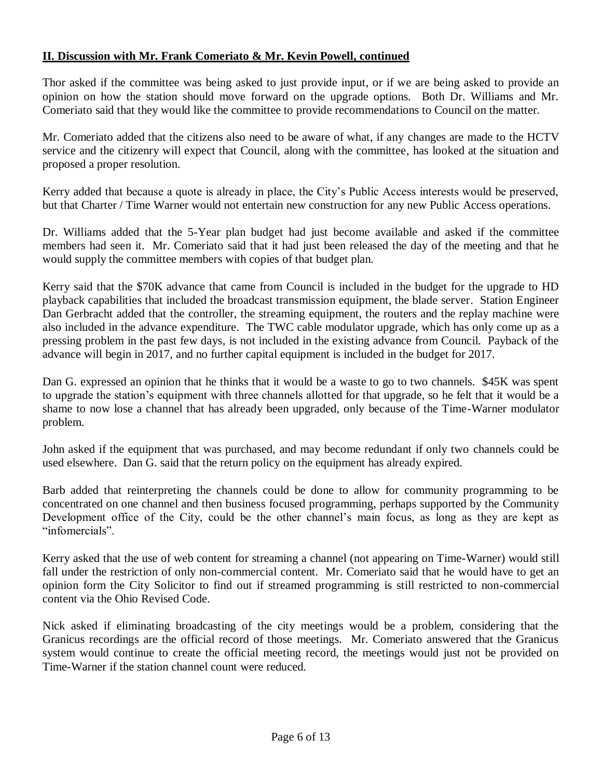Thor asked if the committee was being asked to just provide input, or if we are being asked to provide an opinion on how the station should move forward on the upgrade options. Both Dr. Williams and Mr. Comeriato said that they would like the committee to provide recommendations to Council on the matter.

Mr. Comeriato added that the citizens also need to be aware of what, if any changes are made to the HCTV service and the citizenry will expect that Council, along with the committee, has looked at the situation and proposed a proper resolution.

Kerry added that because a quote is already in place, the City's Public Access interests would be preserved, but that Charter / Time Warner would not entertain new construction for any new Public Access operations.

Dr. Williams added that the 5-Year plan budget had just become available and asked if the committee members had seen it. Mr. Comeriato said that it had just been released the day of the meeting and that he would supply the committee members with copies of that budget plan.

Kerry said that the \$70K advance that came from Council is included in the budget for the upgrade to HD playback capabilities that included the broadcast transmission equipment, the blade server. Station Engineer Dan Gerbracht added that the controller, the streaming equipment, the routers and the replay machine were also included in the advance expenditure. The TWC cable modulator upgrade, which has only come up as a pressing problem in the past few days, is not included in the existing advance from Council. Payback of the advance will begin in 2017, and no further capital equipment is included in the budget for 2017.

Dan G. expressed an opinion that he thinks that it would be a waste to go to two channels. \$45K was spent to upgrade the station's equipment with three channels allotted for that upgrade, so he felt that it would be a shame to now lose a channel that has already been upgraded, only because of the Time-Warner modulator problem.

John asked if the equipment that was purchased, and may become redundant if only two channels could be used elsewhere. Dan G. said that the return policy on the equipment has already expired.

Barb added that reinterpreting the channels could be done to allow for community programming to be concentrated on one channel and then business focused programming, perhaps supported by the Community Development office of the City, could be the other channel's main focus, as long as they are kept as "infomercials".

Kerry asked that the use of web content for streaming a channel (not appearing on Time-Warner) would still fall under the restriction of only non-commercial content. Mr. Comeriato said that he would have to get an opinion form the City Solicitor to find out if streamed programming is still restricted to non-commercial content via the Ohio Revised Code.

Nick asked if eliminating broadcasting of the city meetings would be a problem, considering that the Granicus recordings are the official record of those meetings. Mr. Comeriato answered that the Granicus system would continue to create the official meeting record, the meetings would just not be provided on Time-Warner if the station channel count were reduced.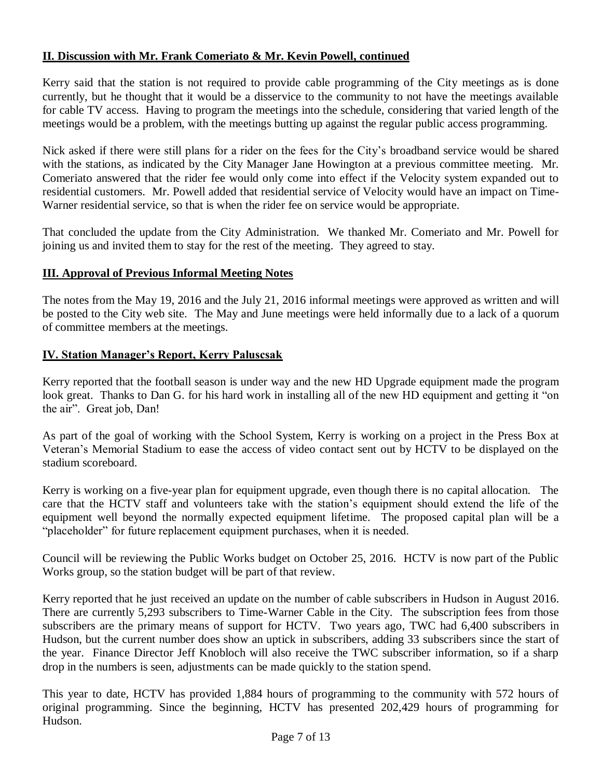Kerry said that the station is not required to provide cable programming of the City meetings as is done currently, but he thought that it would be a disservice to the community to not have the meetings available for cable TV access. Having to program the meetings into the schedule, considering that varied length of the meetings would be a problem, with the meetings butting up against the regular public access programming.

Nick asked if there were still plans for a rider on the fees for the City's broadband service would be shared with the stations, as indicated by the City Manager Jane Howington at a previous committee meeting. Mr. Comeriato answered that the rider fee would only come into effect if the Velocity system expanded out to residential customers. Mr. Powell added that residential service of Velocity would have an impact on Time-Warner residential service, so that is when the rider fee on service would be appropriate.

That concluded the update from the City Administration. We thanked Mr. Comeriato and Mr. Powell for joining us and invited them to stay for the rest of the meeting. They agreed to stay.

## **III. Approval of Previous Informal Meeting Notes**

The notes from the May 19, 2016 and the July 21, 2016 informal meetings were approved as written and will be posted to the City web site. The May and June meetings were held informally due to a lack of a quorum of committee members at the meetings.

#### **IV. Station Manager's Report, Kerry Paluscsak**

Kerry reported that the football season is under way and the new HD Upgrade equipment made the program look great. Thanks to Dan G. for his hard work in installing all of the new HD equipment and getting it "on the air". Great job, Dan!

As part of the goal of working with the School System, Kerry is working on a project in the Press Box at Veteran's Memorial Stadium to ease the access of video contact sent out by HCTV to be displayed on the stadium scoreboard.

Kerry is working on a five-year plan for equipment upgrade, even though there is no capital allocation. The care that the HCTV staff and volunteers take with the station's equipment should extend the life of the equipment well beyond the normally expected equipment lifetime. The proposed capital plan will be a "placeholder" for future replacement equipment purchases, when it is needed.

Council will be reviewing the Public Works budget on October 25, 2016. HCTV is now part of the Public Works group, so the station budget will be part of that review.

Kerry reported that he just received an update on the number of cable subscribers in Hudson in August 2016. There are currently 5,293 subscribers to Time-Warner Cable in the City. The subscription fees from those subscribers are the primary means of support for HCTV. Two years ago, TWC had 6,400 subscribers in Hudson, but the current number does show an uptick in subscribers, adding 33 subscribers since the start of the year. Finance Director Jeff Knobloch will also receive the TWC subscriber information, so if a sharp drop in the numbers is seen, adjustments can be made quickly to the station spend.

This year to date, HCTV has provided 1,884 hours of programming to the community with 572 hours of original programming. Since the beginning, HCTV has presented 202,429 hours of programming for Hudson.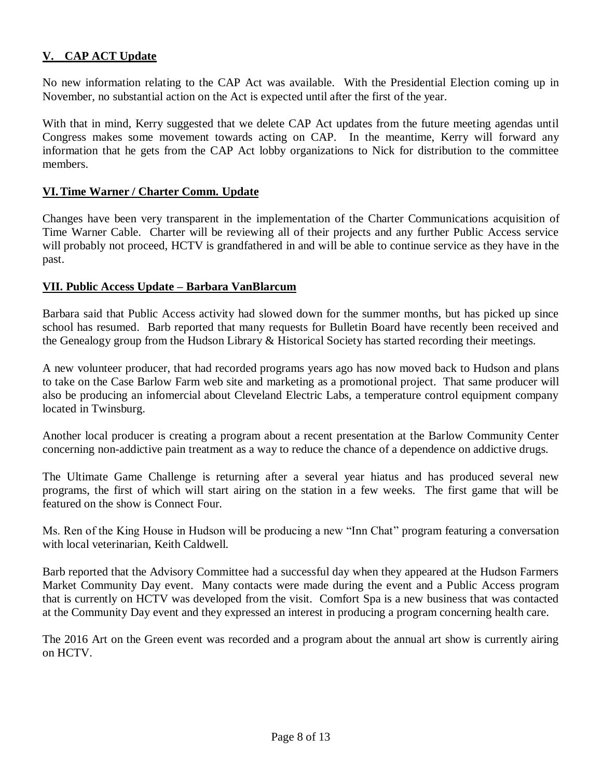# **V. CAP ACT Update**

No new information relating to the CAP Act was available. With the Presidential Election coming up in November, no substantial action on the Act is expected until after the first of the year.

With that in mind, Kerry suggested that we delete CAP Act updates from the future meeting agendas until Congress makes some movement towards acting on CAP. In the meantime, Kerry will forward any information that he gets from the CAP Act lobby organizations to Nick for distribution to the committee members.

#### **VI.Time Warner / Charter Comm. Update**

Changes have been very transparent in the implementation of the Charter Communications acquisition of Time Warner Cable. Charter will be reviewing all of their projects and any further Public Access service will probably not proceed, HCTV is grandfathered in and will be able to continue service as they have in the past.

#### **VII. Public Access Update – Barbara VanBlarcum**

Barbara said that Public Access activity had slowed down for the summer months, but has picked up since school has resumed. Barb reported that many requests for Bulletin Board have recently been received and the Genealogy group from the Hudson Library & Historical Society has started recording their meetings.

A new volunteer producer, that had recorded programs years ago has now moved back to Hudson and plans to take on the Case Barlow Farm web site and marketing as a promotional project. That same producer will also be producing an infomercial about Cleveland Electric Labs, a temperature control equipment company located in Twinsburg.

Another local producer is creating a program about a recent presentation at the Barlow Community Center concerning non-addictive pain treatment as a way to reduce the chance of a dependence on addictive drugs.

The Ultimate Game Challenge is returning after a several year hiatus and has produced several new programs, the first of which will start airing on the station in a few weeks. The first game that will be featured on the show is Connect Four.

Ms. Ren of the King House in Hudson will be producing a new "Inn Chat" program featuring a conversation with local veterinarian, Keith Caldwell.

Barb reported that the Advisory Committee had a successful day when they appeared at the Hudson Farmers Market Community Day event. Many contacts were made during the event and a Public Access program that is currently on HCTV was developed from the visit. Comfort Spa is a new business that was contacted at the Community Day event and they expressed an interest in producing a program concerning health care.

The 2016 Art on the Green event was recorded and a program about the annual art show is currently airing on HCTV.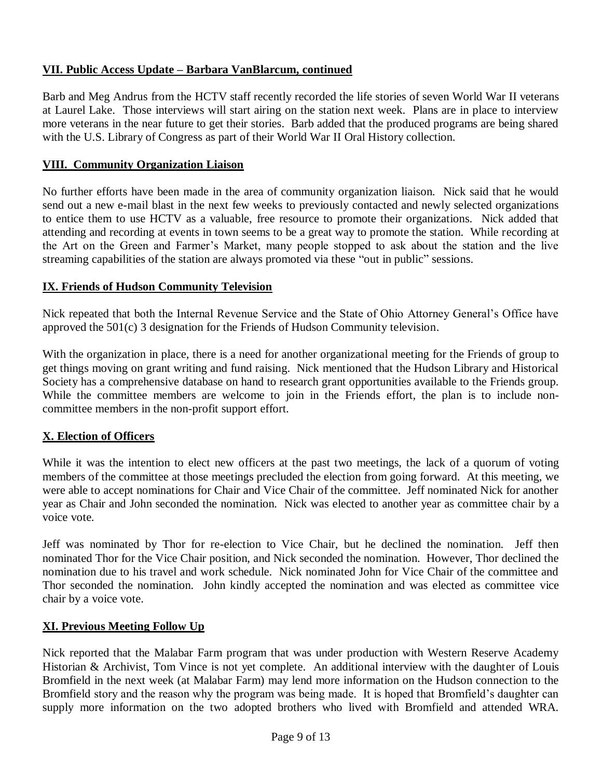# **VII. Public Access Update – Barbara VanBlarcum, continued**

Barb and Meg Andrus from the HCTV staff recently recorded the life stories of seven World War II veterans at Laurel Lake. Those interviews will start airing on the station next week. Plans are in place to interview more veterans in the near future to get their stories. Barb added that the produced programs are being shared with the U.S. Library of Congress as part of their World War II Oral History collection.

## **VIII. Community Organization Liaison**

No further efforts have been made in the area of community organization liaison. Nick said that he would send out a new e-mail blast in the next few weeks to previously contacted and newly selected organizations to entice them to use HCTV as a valuable, free resource to promote their organizations. Nick added that attending and recording at events in town seems to be a great way to promote the station. While recording at the Art on the Green and Farmer's Market, many people stopped to ask about the station and the live streaming capabilities of the station are always promoted via these "out in public" sessions.

## **IX. Friends of Hudson Community Television**

Nick repeated that both the Internal Revenue Service and the State of Ohio Attorney General's Office have approved the 501(c) 3 designation for the Friends of Hudson Community television.

With the organization in place, there is a need for another organizational meeting for the Friends of group to get things moving on grant writing and fund raising. Nick mentioned that the Hudson Library and Historical Society has a comprehensive database on hand to research grant opportunities available to the Friends group. While the committee members are welcome to join in the Friends effort, the plan is to include noncommittee members in the non-profit support effort.

## **X. Election of Officers**

While it was the intention to elect new officers at the past two meetings, the lack of a quorum of voting members of the committee at those meetings precluded the election from going forward. At this meeting, we were able to accept nominations for Chair and Vice Chair of the committee. Jeff nominated Nick for another year as Chair and John seconded the nomination. Nick was elected to another year as committee chair by a voice vote.

Jeff was nominated by Thor for re-election to Vice Chair, but he declined the nomination. Jeff then nominated Thor for the Vice Chair position, and Nick seconded the nomination. However, Thor declined the nomination due to his travel and work schedule. Nick nominated John for Vice Chair of the committee and Thor seconded the nomination. John kindly accepted the nomination and was elected as committee vice chair by a voice vote.

#### **XI. Previous Meeting Follow Up**

Nick reported that the Malabar Farm program that was under production with Western Reserve Academy Historian & Archivist, Tom Vince is not yet complete. An additional interview with the daughter of Louis Bromfield in the next week (at Malabar Farm) may lend more information on the Hudson connection to the Bromfield story and the reason why the program was being made. It is hoped that Bromfield's daughter can supply more information on the two adopted brothers who lived with Bromfield and attended WRA.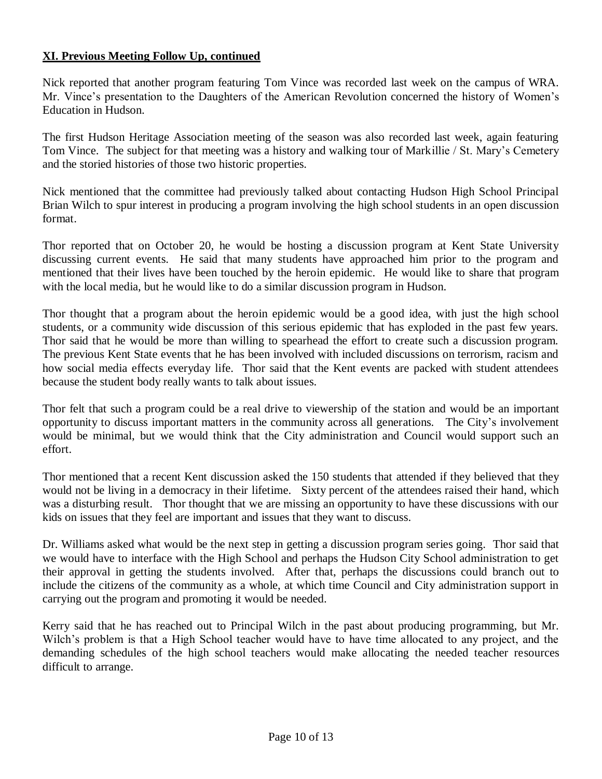## **XI. Previous Meeting Follow Up, continued**

Nick reported that another program featuring Tom Vince was recorded last week on the campus of WRA. Mr. Vince's presentation to the Daughters of the American Revolution concerned the history of Women's Education in Hudson.

The first Hudson Heritage Association meeting of the season was also recorded last week, again featuring Tom Vince. The subject for that meeting was a history and walking tour of Markillie / St. Mary's Cemetery and the storied histories of those two historic properties.

Nick mentioned that the committee had previously talked about contacting Hudson High School Principal Brian Wilch to spur interest in producing a program involving the high school students in an open discussion format.

Thor reported that on October 20, he would be hosting a discussion program at Kent State University discussing current events. He said that many students have approached him prior to the program and mentioned that their lives have been touched by the heroin epidemic. He would like to share that program with the local media, but he would like to do a similar discussion program in Hudson.

Thor thought that a program about the heroin epidemic would be a good idea, with just the high school students, or a community wide discussion of this serious epidemic that has exploded in the past few years. Thor said that he would be more than willing to spearhead the effort to create such a discussion program. The previous Kent State events that he has been involved with included discussions on terrorism, racism and how social media effects everyday life. Thor said that the Kent events are packed with student attendees because the student body really wants to talk about issues.

Thor felt that such a program could be a real drive to viewership of the station and would be an important opportunity to discuss important matters in the community across all generations. The City's involvement would be minimal, but we would think that the City administration and Council would support such an effort.

Thor mentioned that a recent Kent discussion asked the 150 students that attended if they believed that they would not be living in a democracy in their lifetime. Sixty percent of the attendees raised their hand, which was a disturbing result. Thor thought that we are missing an opportunity to have these discussions with our kids on issues that they feel are important and issues that they want to discuss.

Dr. Williams asked what would be the next step in getting a discussion program series going. Thor said that we would have to interface with the High School and perhaps the Hudson City School administration to get their approval in getting the students involved. After that, perhaps the discussions could branch out to include the citizens of the community as a whole, at which time Council and City administration support in carrying out the program and promoting it would be needed.

Kerry said that he has reached out to Principal Wilch in the past about producing programming, but Mr. Wilch's problem is that a High School teacher would have to have time allocated to any project, and the demanding schedules of the high school teachers would make allocating the needed teacher resources difficult to arrange.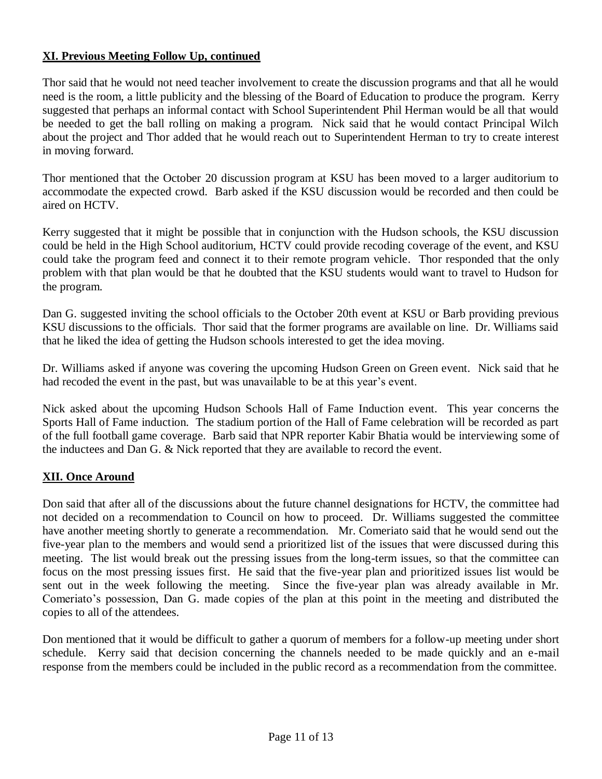# **XI. Previous Meeting Follow Up, continued**

Thor said that he would not need teacher involvement to create the discussion programs and that all he would need is the room, a little publicity and the blessing of the Board of Education to produce the program. Kerry suggested that perhaps an informal contact with School Superintendent Phil Herman would be all that would be needed to get the ball rolling on making a program. Nick said that he would contact Principal Wilch about the project and Thor added that he would reach out to Superintendent Herman to try to create interest in moving forward.

Thor mentioned that the October 20 discussion program at KSU has been moved to a larger auditorium to accommodate the expected crowd. Barb asked if the KSU discussion would be recorded and then could be aired on HCTV.

Kerry suggested that it might be possible that in conjunction with the Hudson schools, the KSU discussion could be held in the High School auditorium, HCTV could provide recoding coverage of the event, and KSU could take the program feed and connect it to their remote program vehicle. Thor responded that the only problem with that plan would be that he doubted that the KSU students would want to travel to Hudson for the program.

Dan G. suggested inviting the school officials to the October 20th event at KSU or Barb providing previous KSU discussions to the officials. Thor said that the former programs are available on line. Dr. Williams said that he liked the idea of getting the Hudson schools interested to get the idea moving.

Dr. Williams asked if anyone was covering the upcoming Hudson Green on Green event. Nick said that he had recoded the event in the past, but was unavailable to be at this year's event.

Nick asked about the upcoming Hudson Schools Hall of Fame Induction event. This year concerns the Sports Hall of Fame induction. The stadium portion of the Hall of Fame celebration will be recorded as part of the full football game coverage. Barb said that NPR reporter Kabir Bhatia would be interviewing some of the inductees and Dan G. & Nick reported that they are available to record the event.

## **XII. Once Around**

Don said that after all of the discussions about the future channel designations for HCTV, the committee had not decided on a recommendation to Council on how to proceed. Dr. Williams suggested the committee have another meeting shortly to generate a recommendation. Mr. Comeriato said that he would send out the five-year plan to the members and would send a prioritized list of the issues that were discussed during this meeting. The list would break out the pressing issues from the long-term issues, so that the committee can focus on the most pressing issues first. He said that the five-year plan and prioritized issues list would be sent out in the week following the meeting. Since the five-year plan was already available in Mr. Comeriato's possession, Dan G. made copies of the plan at this point in the meeting and distributed the copies to all of the attendees.

Don mentioned that it would be difficult to gather a quorum of members for a follow-up meeting under short schedule. Kerry said that decision concerning the channels needed to be made quickly and an e-mail response from the members could be included in the public record as a recommendation from the committee.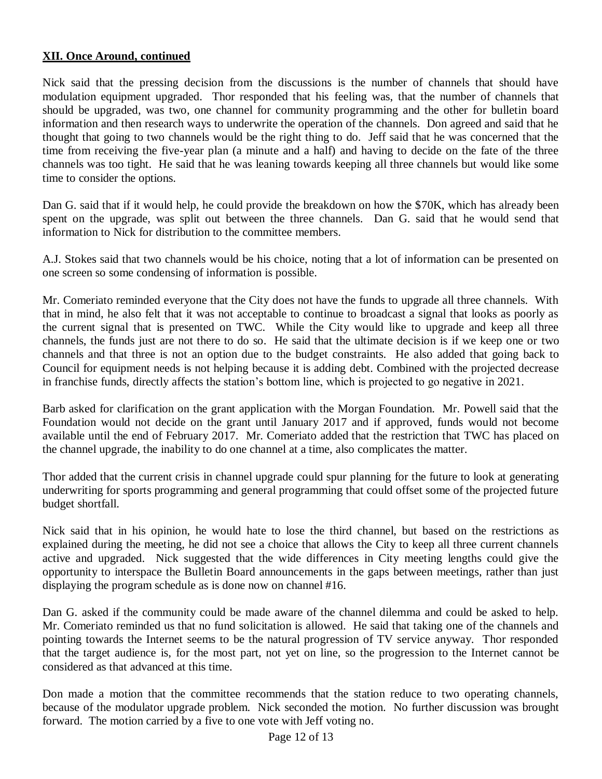## **XII. Once Around, continued**

Nick said that the pressing decision from the discussions is the number of channels that should have modulation equipment upgraded. Thor responded that his feeling was, that the number of channels that should be upgraded, was two, one channel for community programming and the other for bulletin board information and then research ways to underwrite the operation of the channels. Don agreed and said that he thought that going to two channels would be the right thing to do. Jeff said that he was concerned that the time from receiving the five-year plan (a minute and a half) and having to decide on the fate of the three channels was too tight. He said that he was leaning towards keeping all three channels but would like some time to consider the options.

Dan G. said that if it would help, he could provide the breakdown on how the \$70K, which has already been spent on the upgrade, was split out between the three channels. Dan G. said that he would send that information to Nick for distribution to the committee members.

A.J. Stokes said that two channels would be his choice, noting that a lot of information can be presented on one screen so some condensing of information is possible.

Mr. Comeriato reminded everyone that the City does not have the funds to upgrade all three channels. With that in mind, he also felt that it was not acceptable to continue to broadcast a signal that looks as poorly as the current signal that is presented on TWC. While the City would like to upgrade and keep all three channels, the funds just are not there to do so. He said that the ultimate decision is if we keep one or two channels and that three is not an option due to the budget constraints. He also added that going back to Council for equipment needs is not helping because it is adding debt. Combined with the projected decrease in franchise funds, directly affects the station's bottom line, which is projected to go negative in 2021.

Barb asked for clarification on the grant application with the Morgan Foundation. Mr. Powell said that the Foundation would not decide on the grant until January 2017 and if approved, funds would not become available until the end of February 2017. Mr. Comeriato added that the restriction that TWC has placed on the channel upgrade, the inability to do one channel at a time, also complicates the matter.

Thor added that the current crisis in channel upgrade could spur planning for the future to look at generating underwriting for sports programming and general programming that could offset some of the projected future budget shortfall.

Nick said that in his opinion, he would hate to lose the third channel, but based on the restrictions as explained during the meeting, he did not see a choice that allows the City to keep all three current channels active and upgraded. Nick suggested that the wide differences in City meeting lengths could give the opportunity to interspace the Bulletin Board announcements in the gaps between meetings, rather than just displaying the program schedule as is done now on channel #16.

Dan G. asked if the community could be made aware of the channel dilemma and could be asked to help. Mr. Comeriato reminded us that no fund solicitation is allowed. He said that taking one of the channels and pointing towards the Internet seems to be the natural progression of TV service anyway. Thor responded that the target audience is, for the most part, not yet on line, so the progression to the Internet cannot be considered as that advanced at this time.

Don made a motion that the committee recommends that the station reduce to two operating channels, because of the modulator upgrade problem. Nick seconded the motion. No further discussion was brought forward. The motion carried by a five to one vote with Jeff voting no.